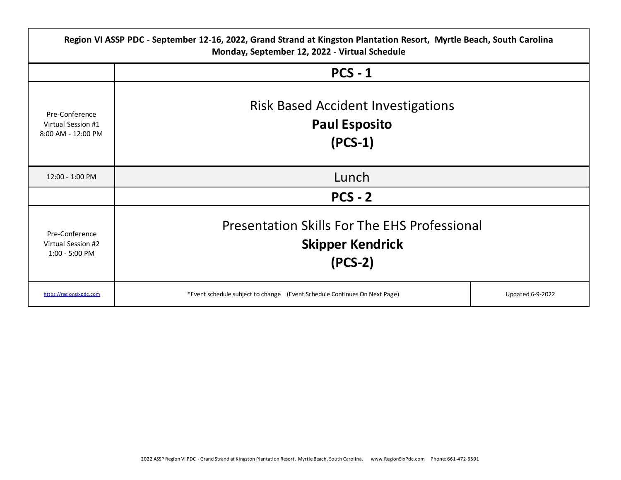| Region VI ASSP PDC - September 12-16, 2022, Grand Strand at Kingston Plantation Resort, Myrtle Beach, South Carolina<br>Monday, September 12, 2022 - Virtual Schedule |                                                                                             |                         |  |
|-----------------------------------------------------------------------------------------------------------------------------------------------------------------------|---------------------------------------------------------------------------------------------|-------------------------|--|
|                                                                                                                                                                       | $PCS - 1$                                                                                   |                         |  |
| Pre-Conference<br>Virtual Session #1<br>8:00 AM - 12:00 PM                                                                                                            | <b>Risk Based Accident Investigations</b><br><b>Paul Esposito</b><br>$(PCS-1)$              |                         |  |
| 12:00 - 1:00 PM                                                                                                                                                       | Lunch                                                                                       |                         |  |
|                                                                                                                                                                       | $PCS - 2$                                                                                   |                         |  |
| Pre-Conference<br>Virtual Session #2<br>1:00 - 5:00 PM                                                                                                                | <b>Presentation Skills For The EHS Professional</b><br><b>Skipper Kendrick</b><br>$(PCS-2)$ |                         |  |
| https://regionsixpdc.com                                                                                                                                              | *Event schedule subject to change (Event Schedule Continues On Next Page)                   | <b>Updated 6-9-2022</b> |  |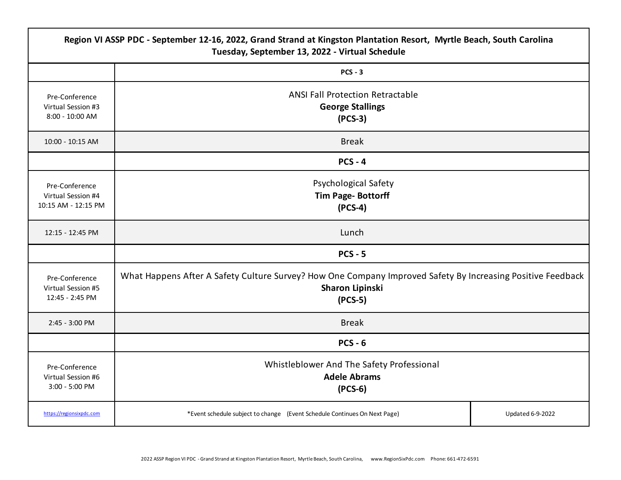|                                                             | Region VI ASSP PDC - September 12-16, 2022, Grand Strand at Kingston Plantation Resort, Myrtle Beach, South Carolina<br>Tuesday, September 13, 2022 - Virtual Schedule |                         |  |
|-------------------------------------------------------------|------------------------------------------------------------------------------------------------------------------------------------------------------------------------|-------------------------|--|
|                                                             | $PCS - 3$                                                                                                                                                              |                         |  |
| Pre-Conference<br>Virtual Session #3<br>8:00 - 10:00 AM     | <b>ANSI Fall Protection Retractable</b><br><b>George Stallings</b><br>$(PCS-3)$                                                                                        |                         |  |
| 10:00 - 10:15 AM                                            | <b>Break</b>                                                                                                                                                           |                         |  |
|                                                             | $PCS - 4$                                                                                                                                                              |                         |  |
| Pre-Conference<br>Virtual Session #4<br>10:15 AM - 12:15 PM | Psychological Safety<br><b>Tim Page-Bottorff</b><br>$(PCS-4)$                                                                                                          |                         |  |
| 12:15 - 12:45 PM                                            | Lunch                                                                                                                                                                  |                         |  |
|                                                             | $PCS - 5$                                                                                                                                                              |                         |  |
| Pre-Conference<br>Virtual Session #5<br>12:45 - 2:45 PM     | What Happens After A Safety Culture Survey? How One Company Improved Safety By Increasing Positive Feedback<br>Sharon Lipinski<br>$(PCS-5)$                            |                         |  |
| 2:45 - 3:00 PM                                              | <b>Break</b>                                                                                                                                                           |                         |  |
|                                                             | $PCS - 6$                                                                                                                                                              |                         |  |
| Pre-Conference<br>Virtual Session #6<br>3:00 - 5:00 PM      | Whistleblower And The Safety Professional<br><b>Adele Abrams</b><br>$(PCS-6)$                                                                                          |                         |  |
| https://regionsixpdc.com                                    | *Event schedule subject to change (Event Schedule Continues On Next Page)                                                                                              | <b>Updated 6-9-2022</b> |  |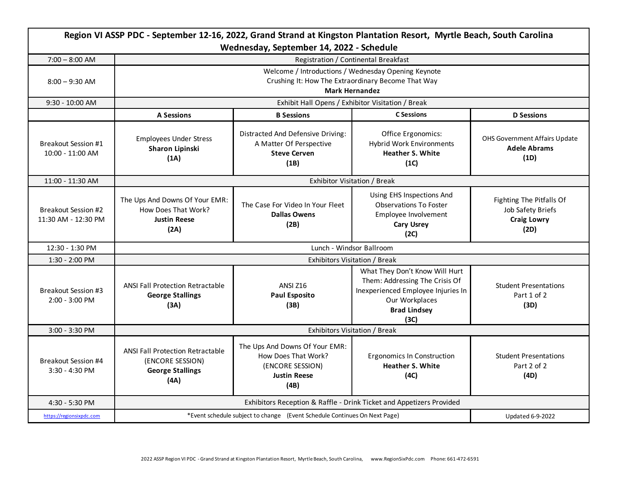| Region VI ASSP PDC - September 12-16, 2022, Grand Strand at Kingston Plantation Resort, Myrtle Beach, South Carolina<br>Wednesday, September 14, 2022 - Schedule |                                                                                                                                    |                                                                                                          |                                                                                                                                                         |                                                                             |
|------------------------------------------------------------------------------------------------------------------------------------------------------------------|------------------------------------------------------------------------------------------------------------------------------------|----------------------------------------------------------------------------------------------------------|---------------------------------------------------------------------------------------------------------------------------------------------------------|-----------------------------------------------------------------------------|
| $7:00 - 8:00$ AM                                                                                                                                                 | Registration / Continental Breakfast                                                                                               |                                                                                                          |                                                                                                                                                         |                                                                             |
| $8:00 - 9:30$ AM                                                                                                                                                 | Welcome / Introductions / Wednesday Opening Keynote<br>Crushing It: How The Extraordinary Become That Way<br><b>Mark Hernandez</b> |                                                                                                          |                                                                                                                                                         |                                                                             |
| 9:30 - 10:00 AM                                                                                                                                                  | Exhibit Hall Opens / Exhibitor Visitation / Break                                                                                  |                                                                                                          |                                                                                                                                                         |                                                                             |
|                                                                                                                                                                  | <b>A Sessions</b>                                                                                                                  | <b>B Sessions</b>                                                                                        | <b>C</b> Sessions                                                                                                                                       | <b>D</b> Sessions                                                           |
| <b>Breakout Session #1</b><br>10:00 - 11:00 AM                                                                                                                   | <b>Employees Under Stress</b><br>Sharon Lipinski<br>(1A)                                                                           | Distracted And Defensive Driving:<br>A Matter Of Perspective<br><b>Steve Cerven</b><br>(1B)              | Office Ergonomics:<br><b>Hybrid Work Environments</b><br><b>Heather S. White</b><br>(1C)                                                                | OHS Government Affairs Update<br><b>Adele Abrams</b><br>(1D)                |
| 11:00 - 11:30 AM                                                                                                                                                 | Exhibitor Visitation / Break                                                                                                       |                                                                                                          |                                                                                                                                                         |                                                                             |
| Breakout Session #2<br>11:30 AM - 12:30 PM                                                                                                                       | The Ups And Downs Of Your EMR:<br>How Does That Work?<br><b>Justin Reese</b><br>(2A)                                               | The Case For Video In Your Fleet<br><b>Dallas Owens</b><br>(2B)                                          | Using EHS Inspections And<br><b>Observations To Foster</b><br>Employee Involvement<br><b>Cary Usrey</b><br>(2C)                                         | Fighting The Pitfalls Of<br>Job Safety Briefs<br><b>Craig Lowry</b><br>(2D) |
| 12:30 - 1:30 PM                                                                                                                                                  | Lunch - Windsor Ballroom                                                                                                           |                                                                                                          |                                                                                                                                                         |                                                                             |
| 1:30 - 2:00 PM                                                                                                                                                   | Exhibitors Visitation / Break                                                                                                      |                                                                                                          |                                                                                                                                                         |                                                                             |
| <b>Breakout Session #3</b><br>$2:00 - 3:00$ PM                                                                                                                   | <b>ANSI Fall Protection Retractable</b><br><b>George Stallings</b><br>(3A)                                                         | <b>ANSI Z16</b><br><b>Paul Esposito</b><br>(3B)                                                          | What They Don't Know Will Hurt<br>Them: Addressing The Crisis Of<br>Inexperienced Employee Injuries In<br>Our Workplaces<br><b>Brad Lindsey</b><br>(3C) | <b>Student Presentations</b><br>Part 1 of 2<br>(3D)                         |
| 3:00 - 3:30 PM                                                                                                                                                   | Exhibitors Visitation / Break                                                                                                      |                                                                                                          |                                                                                                                                                         |                                                                             |
| <b>Breakout Session #4</b><br>3:30 - 4:30 PM                                                                                                                     | <b>ANSI Fall Protection Retractable</b><br>(ENCORE SESSION)<br><b>George Stallings</b><br>(AA)                                     | The Ups And Downs Of Your EMR:<br>How Does That Work?<br>(ENCORE SESSION)<br><b>Justin Reese</b><br>(4B) | <b>Ergonomics In Construction</b><br><b>Heather S. White</b><br>(4C)                                                                                    | <b>Student Presentations</b><br>Part 2 of 2<br>(4D)                         |
| 4:30 - 5:30 PM                                                                                                                                                   | Exhibitors Reception & Raffle - Drink Ticket and Appetizers Provided                                                               |                                                                                                          |                                                                                                                                                         |                                                                             |
| https://regionsixpdc.com                                                                                                                                         | *Event schedule subject to change (Event Schedule Continues On Next Page)                                                          |                                                                                                          | <b>Updated 6-9-2022</b>                                                                                                                                 |                                                                             |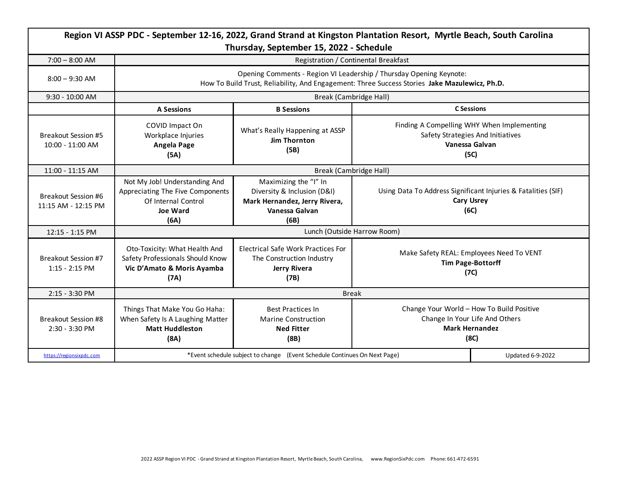| Region VI ASSP PDC - September 12-16, 2022, Grand Strand at Kingston Plantation Resort, Myrtle Beach, South Carolina<br>Thursday, September 15, 2022 - Schedule |                                                                                                                                                                      |                                                                                                                 |                                                                                                              |                                                                                                           |
|-----------------------------------------------------------------------------------------------------------------------------------------------------------------|----------------------------------------------------------------------------------------------------------------------------------------------------------------------|-----------------------------------------------------------------------------------------------------------------|--------------------------------------------------------------------------------------------------------------|-----------------------------------------------------------------------------------------------------------|
| $7:00 - 8:00$ AM                                                                                                                                                |                                                                                                                                                                      | Registration / Continental Breakfast                                                                            |                                                                                                              |                                                                                                           |
| $8:00 - 9:30$ AM                                                                                                                                                | Opening Comments - Region VI Leadership / Thursday Opening Keynote:<br>How To Build Trust, Reliability, And Engagement: Three Success Stories Jake Mazulewicz, Ph.D. |                                                                                                                 |                                                                                                              |                                                                                                           |
| $9:30 - 10:00$ AM                                                                                                                                               | Break (Cambridge Hall)                                                                                                                                               |                                                                                                                 |                                                                                                              |                                                                                                           |
|                                                                                                                                                                 | <b>A Sessions</b>                                                                                                                                                    | <b>B</b> Sessions                                                                                               |                                                                                                              | <b>C</b> Sessions                                                                                         |
| <b>Breakout Session #5</b><br>10:00 - 11:00 AM                                                                                                                  | COVID Impact On<br>Workplace Injuries<br>Angela Page<br>(5A)                                                                                                         | What's Really Happening at ASSP<br><b>Jim Thornton</b><br>(5B)                                                  |                                                                                                              | Finding A Compelling WHY When Implementing<br>Safety Strategies And Initiatives<br>Vanessa Galvan<br>(5C) |
| 11:00 - 11:15 AM                                                                                                                                                | Break (Cambridge Hall)                                                                                                                                               |                                                                                                                 |                                                                                                              |                                                                                                           |
| <b>Breakout Session #6</b><br>11:15 AM - 12:15 PM                                                                                                               | Not My Job! Understanding And<br>Appreciating The Five Components<br>Of Internal Control<br><b>Joe Ward</b><br>(6A)                                                  | Maximizing the "I" In<br>Diversity & Inclusion (D&I)<br>Mark Hernandez, Jerry Rivera,<br>Vanessa Galvan<br>(6B) |                                                                                                              | Using Data To Address Significant Injuries & Fatalities (SIF)<br><b>Cary Usrey</b><br>(6C)                |
| 12:15 - 1:15 PM                                                                                                                                                 | Lunch (Outside Harrow Room)                                                                                                                                          |                                                                                                                 |                                                                                                              |                                                                                                           |
| Breakout Session #7<br>$1:15 - 2:15$ PM                                                                                                                         | Oto-Toxicity: What Health And<br>Safety Professionals Should Know<br>Vic D'Amato & Moris Ayamba<br>(7A)                                                              | <b>Electrical Safe Work Practices For</b><br>The Construction Industry<br>Jerry Rivera<br>(7B)                  | Make Safety REAL: Employees Need To VENT<br><b>Tim Page-Bottorff</b><br>(7C)                                 |                                                                                                           |
| 2:15 - 3:30 PM                                                                                                                                                  | <b>Break</b>                                                                                                                                                         |                                                                                                                 |                                                                                                              |                                                                                                           |
| Breakout Session #8<br>2:30 - 3:30 PM                                                                                                                           | Things That Make You Go Haha:<br>When Safety Is A Laughing Matter<br><b>Matt Huddleston</b><br>(8A)                                                                  | <b>Best Practices In</b><br><b>Marine Construction</b><br><b>Ned Fitter</b><br>(8B)                             | Change Your World - How To Build Positive<br>Change In Your Life And Others<br><b>Mark Hernandez</b><br>(8C) |                                                                                                           |
| https://regionsixpdc.com                                                                                                                                        | *Event schedule subject to change (Event Schedule Continues On Next Page)<br><b>Updated 6-9-2022</b>                                                                 |                                                                                                                 |                                                                                                              |                                                                                                           |